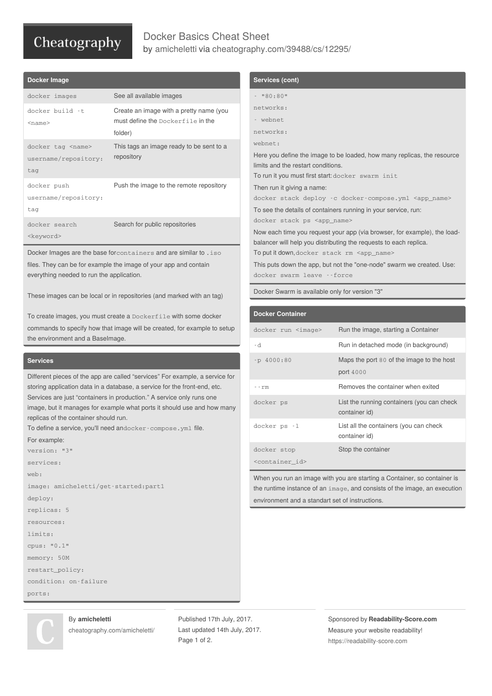# Cheatography

## Docker Basics Cheat Sheet by [amicheletti](http://www.cheatography.com/amicheletti/) via [cheatography.com/39488/cs/12295/](http://www.cheatography.com/amicheletti/cheat-sheets/docker-basics)

| Docker Image                                              |                                                                                         |
|-----------------------------------------------------------|-----------------------------------------------------------------------------------------|
| docker images                                             | See all available images                                                                |
| docker build -t<br>$<$ name $>$                           | Create an image with a pretty name (you<br>must define the Dockerfile in the<br>folder) |
| docker tag <name><br/>username/repository:<br/>tag</name> | This tags an image ready to be sent to a<br>repository                                  |
| docker push<br>username/repository:<br>tag                | Push the image to the remote repository                                                 |
| docker search<br><keyword></keyword>                      | Search for public repositories                                                          |

Docker Images are the base forcontainers and are similar to .iso files. They can be for example the image of your app and contain everything needed to run the application.

These images can be local or in repositories (and marked with an tag)

To create images, you must create a Dockerfile with some docker commands to specify how that image will be created, for example to setup the environment and a BaseImage.

#### **Services**

Different pieces of the app are called "services" For example, a service for storing application data in a database, a service for the front-end, etc. Services are just "containers in production." A service only runs one image, but it manages for example what ports it should use and how many replicas of the container should run.

To define a service, you'll need andocker-compose.yml file.

#### For example:

```
version: "3"
services:
web:
image: amicheletti/get-started:part1
deploy:
replicas: 5
resources:
limits:
cpus: "0.1"
memory: 50M
restart_policy:
condition: on-failure
ports:
```
### **Services (cont)** - "80:80"

| networks:                                                                                                                                     |
|-----------------------------------------------------------------------------------------------------------------------------------------------|
| - webnet                                                                                                                                      |
| networks:                                                                                                                                     |
| webnet:                                                                                                                                       |
| Here you define the image to be loaded, how many replicas, the resource                                                                       |
| limits and the restart conditions.                                                                                                            |
| To run it you must first start: docker swarm init                                                                                             |
| Then run it giving a name:                                                                                                                    |
| docker stack deploy -c docker-compose.yml <app_name></app_name>                                                                               |
| To see the details of containers running in your service, run:                                                                                |
| docker stack ps <app_name></app_name>                                                                                                         |
| Now each time you request your app (via browser, for example), the load-<br>balancer will help you distributing the requests to each replica. |
| To putit down, docker stack rm <app_name></app_name>                                                                                          |
| This puts down the app, but not the "one-node" swarm we created. Use:<br>docker swarm leave --force                                           |
|                                                                                                                                               |

Docker Swarm is available only for version "3"

| <b>Docker Container</b>       |                                                             |
|-------------------------------|-------------------------------------------------------------|
| docker run <image/>           | Run the image, starting a Container                         |
| - d                           | Run in detached mode (in background)                        |
| $-p4000:80$                   | Maps the port 80 of the image to the host<br>port 4000      |
| - - rm                        | Removes the container when exited                           |
| docker ps                     | List the running containers (you can check<br>container id) |
| docker ps -1                  | List all the containers (you can check<br>container id)     |
| docker stop                   | Stop the container                                          |
| <container_id></container_id> |                                                             |

When you run an image with you are starting a Container, so container is the runtime instance of an image, and consists of the image, an execution environment and a standart set of instructions.



#### By **amicheletti**

[cheatography.com/amicheletti/](http://www.cheatography.com/amicheletti/)

Published 17th July, 2017. Last updated 14th July, 2017. Page 1 of 2.

Sponsored by **Readability-Score.com** Measure your website readability! <https://readability-score.com>